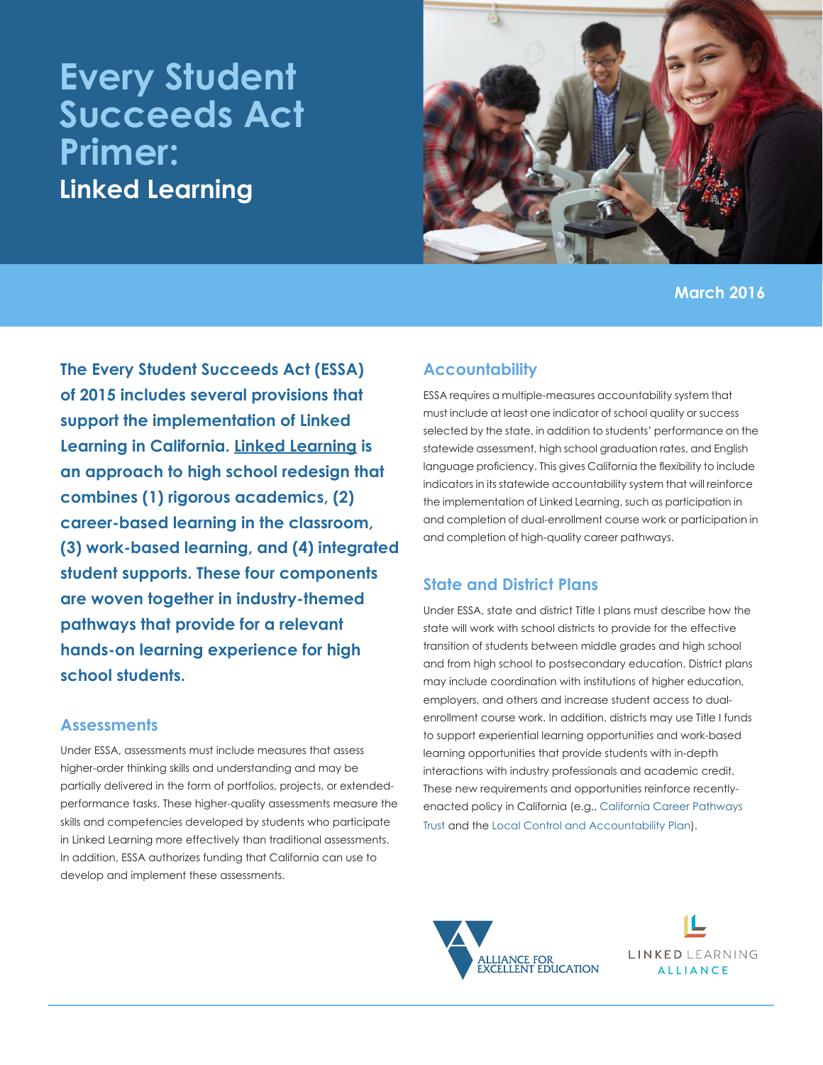# **Every Student Succeeds Act Primer: Linked Learning**



**March 2016**

**The Every Student Succeeds Act (ESSA) of 2015 includes several provisions that support the implementation of Linked Learning in California. [Linked Learning](http://all4ed.org/issues/linked-learning/) is an approach to high school redesign that combines (1) rigorous academics, (2) career-based learning in the classroom, (3) work-based learning, and (4) integrated student supports. These four components are woven together in industry-themed pathways that provide for a relevant hands-on learning experience for high school students.**

#### **Assessments**

Under ESSA, assessments must include measures that assess higher-order thinking skills and understanding and may be partially delivered in the form of portfolios, projects, or extendedperformance tasks. These higher-quality assessments measure the skills and competencies developed by students who participate in Linked Learning more effectively than traditional assessments. In addition, ESSA authorizes funding that California can use to develop and implement these assessments.

#### **Accountability**

ESSA requires a multiple-measures accountability system that must include at least one indicator of school quality or success selected by the state, in addition to students' performance on the statewide assessment, high school graduation rates, and English language proficiency. This gives California the flexibility to include indicators in its statewide accountability system that will reinforce the implementation of Linked Learning, such as participation in and completion of dual-enrollment course work or participation in and completion of high-quality career pathways.

#### **State and District Plans**

Under ESSA, state and district Title I plans must describe how the state will work with school districts to provide for the effective transition of students between middle grades and high school and from high school to postsecondary education. District plans may include coordination with institutions of higher education, employers, and others and increase student access to dualenrollment course work. In addition, districts may use Title I funds to support experiential learning opportunities and work-based learning opportunities that provide students with in-depth interactions with industry professionals and academic credit. These new requirements and opportunities reinforce recentlyenacted policy in California (e.g., [California Career Pathways](http://www.linkedlearning.org/policy/california-career-pathways-trust/)  [Trust](http://www.linkedlearning.org/policy/california-career-pathways-trust/) and the [Local Control and Accountability Plan\)](http://www.linkedlearning.org/policy/accountability-2/).